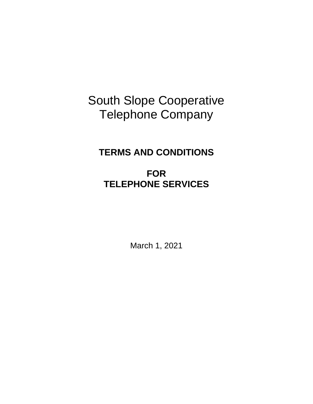# South Slope Cooperative Telephone Company

## **TERMS AND CONDITIONS**

# **FOR TELEPHONE SERVICES**

March 1, 2021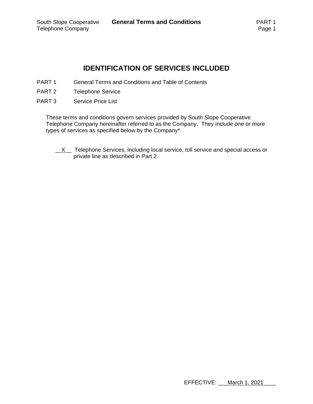## **IDENTIFICATION OF SERVICES INCLUDED**

- PART 1 General Terms and Conditions and Table of Contents
- PART 2 Telephone Service
- PART 3 Service Price List

These terms and conditions govern services provided by South Slope Cooperative Telephone Company hereinafter referred to as the Company. They include one or more types of services as specified below by the Company\*.

 $\underline{X}$  Telephone Services, including local service, toll service and special access or private line as described in Part 2.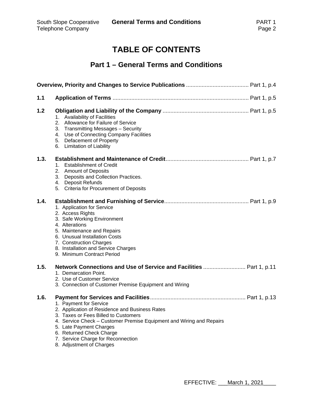## **TABLE OF CONTENTS**

## **Part 1 – General Terms and Conditions**

| 1.1  |                                                                                                                                                                                                                                                                                                                   |
|------|-------------------------------------------------------------------------------------------------------------------------------------------------------------------------------------------------------------------------------------------------------------------------------------------------------------------|
| 1.2  | 1. Availability of Facilities<br>2. Allowance for Failure of Service<br>3. Transmitting Messages - Security<br>4. Use of Connecting Company Facilities<br>5. Defacement of Property<br>6. Limitation of Liability                                                                                                 |
| 1.3. | <b>Establishment of Credit</b><br>1.<br>2. Amount of Deposits<br>3. Deposits and Collection Practices.<br>4. Deposit Refunds<br>5. Criteria for Procurement of Deposits                                                                                                                                           |
| 1.4. | 1. Application for Service<br>2. Access Rights<br>3. Safe Working Environment<br>4. Alterations<br>5. Maintenance and Repairs<br>6. Unusual Installation Costs<br>7. Construction Charges<br>8. Installation and Service Charges<br>9. Minimum Contract Period                                                    |
| 1.5. | Network Connections and Use of Service and Facilities  Part 1, p.11<br>1. Demarcation Point.<br>2. Use of Customer Service<br>3. Connection of Customer Premise Equipment and Wiring                                                                                                                              |
| 1.6. | 1. Payment for Service<br>2. Application of Residence and Business Rates<br>3. Taxes or Fees Billed to Customers<br>4. Service Check – Customer Premise Equipment and Wiring and Repairs<br>5. Late Payment Charges<br>6. Returned Check Charge<br>7. Service Charge for Reconnection<br>8. Adjustment of Charges |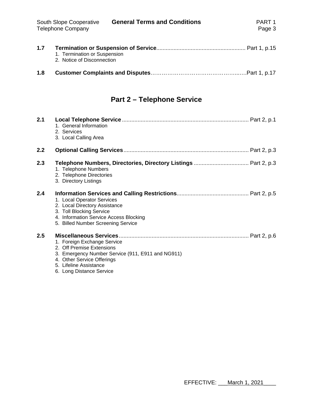| 1.8 |                              |
|-----|------------------------------|
|     | 2. Notice of Disconnection   |
| 1.1 | 1. Termination or Suspension |

## **Part 2 – Telephone Service**

| 2.1 | 1. General Information<br>2. Services<br>3. Local Calling Area                                                                                                                                    |
|-----|---------------------------------------------------------------------------------------------------------------------------------------------------------------------------------------------------|
| 2.2 |                                                                                                                                                                                                   |
| 2.3 | 1. Telephone Numbers<br>2. Telephone Directories<br>3. Directory Listings                                                                                                                         |
| 2.4 | 1. Local Operator Services<br>2. Local Directory Assistance<br>3. Toll Blocking Service<br>4. Information Service Access Blocking<br>5. Billed Number Screening Service                           |
| 2.5 | 1. Foreign Exchange Service<br>2. Off Premise Extensions<br>3. Emergency Number Service (911, E911 and NG911)<br>4. Other Service Offerings<br>5. Lifeline Assistance<br>6. Long Distance Service |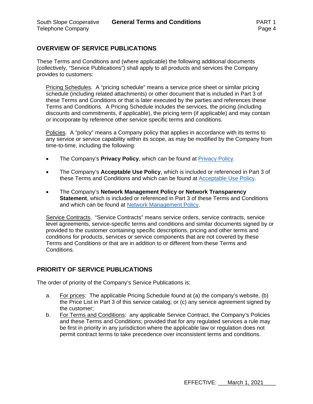## **OVERVIEW OF SERVICE PUBLICATIONS**

These Terms and Conditions and (where applicable) the following additional documents (collectively, "Service Publications") shall apply to all products and services the Company provides to customers:

Pricing Schedules. A "pricing schedule" means a service price sheet or similar pricing schedule (including related attachments) or other document that is included in Part 3 of these Terms and Conditions or that is later executed by the parties and references these Terms and Conditions. A Pricing Schedule includes the services, the pricing (including discounts and commitments, if applicable), the pricing term (if applicable) and may contain or incorporate by reference other service specific terms and conditions.

Policies. A "policy" means a Company policy that applies in accordance with its terms to any service or service capability within its scope, as may be modified by the Company from time-to-time, including the following:

- The Company's **Privacy Policy**, which can be found at Privacy Policy.
- The Company's **Acceptable Use Policy**, which is included or referenced in Part 3 of these Terms and Conditions and which can be found at Acceptable Use Policy.
- The Company's **Network Management Policy or Network Transparency Statement**, which is included or referenced in Part 3 of these Terms and Conditions and which can be found at Network Management Policy.

Service Contracts. "Service Contracts" means service orders, service contracts, service level agreements, service-specific terms and conditions and similar documents signed by or provided to the customer containing specific descriptions, pricing and other terms and conditions for products, services or service components that are not covered by these Terms and Conditions or that are in addition to or different from these Terms and Conditions.

## **PRIORITY OF SERVICE PUBLICATIONS**

The order of priority of the Company's Service Publications is:

- a. For prices: The applicable Pricing Schedule found at (a) the company's website, (b) the Price List in Part 3 of this service catalog; or (c) any service agreement signed by the customer;
- b. For Terms and Conditions: any applicable Service Contract, the Company's Policies and these Terms and Conditions; provided that for any regulated services a rule may be first in priority in any jurisdiction where the applicable law or regulation does not permit contract terms to take precedence over inconsistent terms and conditions.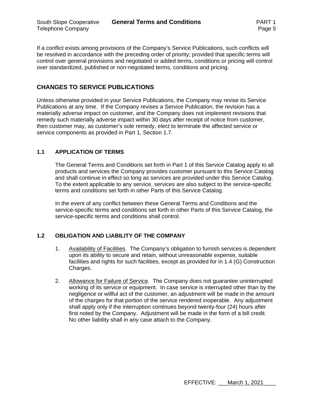If a conflict exists among provisions of the Company's Service Publications, such conflicts will be resolved in accordance with the preceding order of priority; provided that specific terms will control over general provisions and negotiated or added terms, conditions or pricing will control over standardized, published or non-negotiated terms, conditions and pricing.

## **CHANGES TO SERVICE PUBLICATIONS**

Unless otherwise provided in your Service Publications, the Company may revise its Service Publications at any time. If the Company revises a Service Publication, the revision has a materially adverse impact on customer, and the Company does not implement revisions that remedy such materially adverse impact within 30 days after receipt of notice from customer, then customer may, as customer's sole remedy, elect to terminate the affected service or service components as provided in Part 1, Section 1.7.

## **1.1 APPLICATION OF TERMS**

The General Terms and Conditions set forth in Part 1 of this Service Catalog apply to all products and services the Company provides customer pursuant to this Service Catalog and shall continue in effect so long as services are provided under this Service Catalog. To the extent applicable to any service, services are also subject to the service-specific terms and conditions set forth in other Parts of this Service Catalog.

In the event of any conflict between these General Terms and Conditions and the service-specific terms and conditions set forth in other Parts of this Service Catalog, the service-specific terms and conditions shall control.

## **1.2 OBLIGATION AND LIABILITY OF THE COMPANY**

- 1. Availability of Facilities. The Company's obligation to furnish services is dependent upon its ability to secure and retain, without unreasonable expense, suitable facilities and rights for such facilities, except as provided for in 1.4 (G) Construction Charges.
- 2. Allowance for Failure of Service. The Company does not guarantee uninterrupted working of its service or equipment. In case service is interrupted other than by the negligence or willful act of the customer, an adjustment will be made in the amount of the charges for that portion of the service rendered inoperable. Any adjustment shall apply only if the interruption continues beyond twenty-four (24) hours after first noted by the Company. Adjustment will be made in the form of a bill credit. No other liability shall in any case attach to the Company.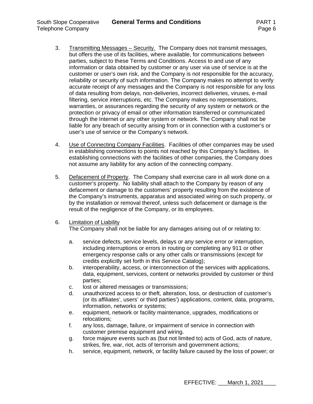- 3. Transmitting Messages Security. The Company does not transmit messages, but offers the use of its facilities, where available, for communications between parties, subject to these Terms and Conditions. Access to and use of any information or data obtained by customer or any user via use of service is at the customer or user's own risk, and the Company is not responsible for the accuracy, reliability or security of such information. The Company makes no attempt to verify accurate receipt of any messages and the Company is not responsible for any loss of data resulting from delays, non-deliveries, incorrect deliveries, viruses, e-mail filtering, service interruptions, etc. The Company makes no representations, warranties, or assurances regarding the security of any system or network or the protection or privacy of email or other information transferred or communicated through the Internet or any other system or network. The Company shall not be liable for any breach of security arising from or in connection with a customer's or user's use of service or the Company's network.
- 4. Use of Connecting Company Facilities. Facilities of other companies may be used in establishing connections to points not reached by this Company's facilities. In establishing connections with the facilities of other companies, the Company does not assume any liability for any action of the connecting company.
- 5. Defacement of Property. The Company shall exercise care in all work done on a customer's property. No liability shall attach to the Company by reason of any defacement or damage to the customers' property resulting from the existence of the Company's instruments, apparatus and associated wiring on such property, or by the installation or removal thereof, unless such defacement or damage is the result of the negligence of the Company, or its employees.
- 6. Limitation of Liability

The Company shall not be liable for any damages arising out of or relating to:

- a. service defects, service levels, delays or any service error or interruption, including interruptions or errors in routing or completing any 911 or other emergency response calls or any other calls or transmissions (except for credits explicitly set forth in this Service Catalog);
- b. interoperability, access, or interconnection of the services with applications, data, equipment, services, content or networks provided by customer or third parties;
- c. lost or altered messages or transmissions;
- d. unauthorized access to or theft, alteration, loss, or destruction of customer's (or its affiliates', users' or third parties') applications, content, data, programs, information, networks or systems;
- e. equipment, network or facility maintenance, upgrades, modifications or relocations;
- f. any loss, damage, failure, or impairment of service in connection with customer premise equipment and wiring.
- g. force majeure events such as (but not limited to) acts of God, acts of nature, strikes, fire, war, riot, acts of terrorism and government actions;
- h. service, equipment, network, or facility failure caused by the loss of power; or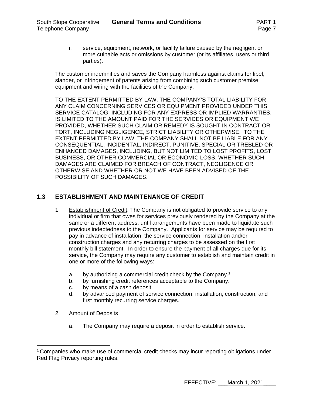i. service, equipment, network, or facility failure caused by the negligent or more culpable acts or omissions by customer (or its affiliates, users or third parties).

The customer indemnifies and saves the Company harmless against claims for libel, slander, or infringement of patents arising from combining such customer premise equipment and wiring with the facilities of the Company.

TO THE EXTENT PERMITTED BY LAW, THE COMPANY'S TOTAL LIABILITY FOR ANY CLAIM CONCERNING SERVICES OR EQUIPMENT PROVIDED UNDER THIS SERVICE CATALOG, INCLUDING FOR ANY EXPRESS OR IMPLIED WARRANTIES, IS LIMITED TO THE AMOUNT PAID FOR THE SERVICES OR EQUIPMENT WE PROVIDED, WHETHER SUCH CLAIM OR REMEDY IS SOUGHT IN CONTRACT OR TORT, INCLUDING NEGLIGENCE, STRICT LIABILITY OR OTHERWISE. TO THE EXTENT PERMITTED BY LAW, THE COMPANY SHALL NOT BE LIABLE FOR ANY CONSEQUENTIAL, INCIDENTAL, INDIRECT, PUNITIVE, SPECIAL OR TREBLED OR ENHANCED DAMAGES, INCLUDING, BUT NOT LIMITED TO LOST PROFITS, LOST BUSINESS, OR OTHER COMMERCIAL OR ECONOMIC LOSS, WHETHER SUCH DAMAGES ARE CLAIMED FOR BREACH OF CONTRACT, NEGLIGENCE OR OTHERWISE AND WHETHER OR NOT WE HAVE BEEN ADVISED OF THE POSSIBILITY OF SUCH DAMAGES.

## **1.3 ESTABLISHMENT AND MAINTENANCE OF CREDIT**

- 1. Establishment of Credit. The Company is not obligated to provide service to any individual or firm that owes for services previously rendered by the Company at the same or a different address, until arrangements have been made to liquidate such previous indebtedness to the Company. Applicants for service may be required to pay in advance of installation, the service connection, installation and/or construction charges and any recurring charges to be assessed on the first monthly bill statement. In order to ensure the payment of all charges due for its service, the Company may require any customer to establish and maintain credit in one or more of the following ways:
	- a. by authorizing a commercial credit check by the Company.1
	- b. by furnishing credit references acceptable to the Company.
	- c. by means of a cash deposit.
	- d. by advanced payment of service connection, installation, construction, and first monthly recurring service charges.
- 2. Amount of Deposits
	- a. The Company may require a deposit in order to establish service.

<sup>1</sup> Companies who make use of commercial credit checks may incur reporting obligations under Red Flag Privacy reporting rules.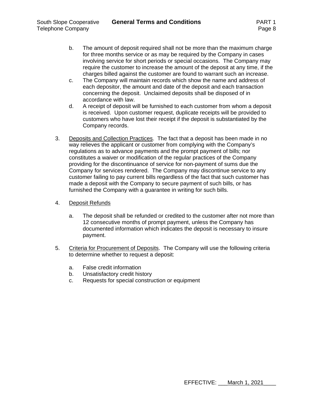- b. The amount of deposit required shall not be more than the maximum charge for three months service or as may be required by the Company in cases involving service for short periods or special occasions. The Company may require the customer to increase the amount of the deposit at any time, if the charges billed against the customer are found to warrant such an increase.
- c. The Company will maintain records which show the name and address of each depositor, the amount and date of the deposit and each transaction concerning the deposit. Unclaimed deposits shall be disposed of in accordance with law.
- d. A receipt of deposit will be furnished to each customer from whom a deposit is received. Upon customer request, duplicate receipts will be provided to customers who have lost their receipt if the deposit is substantiated by the Company records.
- 3. Deposits and Collection Practices. The fact that a deposit has been made in no way relieves the applicant or customer from complying with the Company's regulations as to advance payments and the prompt payment of bills; nor constitutes a waiver or modification of the regular practices of the Company providing for the discontinuance of service for non-payment of sums due the Company for services rendered. The Company may discontinue service to any customer failing to pay current bills regardless of the fact that such customer has made a deposit with the Company to secure payment of such bills, or has furnished the Company with a guarantee in writing for such bills.
- 4. Deposit Refunds
	- a. The deposit shall be refunded or credited to the customer after not more than 12 consecutive months of prompt payment, unless the Company has documented information which indicates the deposit is necessary to insure payment.
- 5. Criteria for Procurement of Deposits. The Company will use the following criteria to determine whether to request a deposit:
	- a. False credit information
	- b. Unsatisfactory credit history
	- c. Requests for special construction or equipment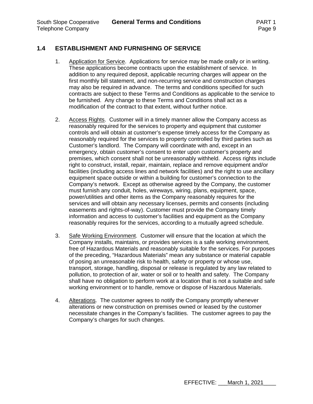## **1.4 ESTABLISHMENT AND FURNISHING OF SERVICE**

- 1. Application for Service. Applications for service may be made orally or in writing. These applications become contracts upon the establishment of service. In addition to any required deposit, applicable recurring charges will appear on the first monthly bill statement, and non-recurring service and construction charges may also be required in advance. The terms and conditions specified for such contracts are subject to these Terms and Conditions as applicable to the service to be furnished. Any change to these Terms and Conditions shall act as a modification of the contract to that extent, without further notice.
- 2. Access Rights. Customer will in a timely manner allow the Company access as reasonably required for the services to property and equipment that customer controls and will obtain at customer's expense timely access for the Company as reasonably required for the services to property controlled by third parties such as Customer's landlord. The Company will coordinate with and, except in an emergency, obtain customer's consent to enter upon customer's property and premises, which consent shall not be unreasonably withheld. Access rights include right to construct, install, repair, maintain, replace and remove equipment and/or facilities (including access lines and network facilities) and the right to use ancillary equipment space outside or within a building for customer's connection to the Company's network. Except as otherwise agreed by the Company, the customer must furnish any conduit, holes, wireways, wiring, plans, equipment, space, power/utilities and other items as the Company reasonably requires for the services and will obtain any necessary licenses, permits and consents (including easements and rights-of-way). Customer must provide the Company timely information and access to customer's facilities and equipment as the Company reasonably requires for the services, according to a mutually agreed schedule.
- 3. Safe Working Environment. Customer will ensure that the location at which the Company installs, maintains, or provides services is a safe working environment, free of Hazardous Materials and reasonably suitable for the services. For purposes of the preceding, "Hazardous Materials" mean any substance or material capable of posing an unreasonable risk to health, safety or property or whose use, transport, storage, handling, disposal or release is regulated by any law related to pollution, to protection of air, water or soil or to health and safety. The Company shall have no obligation to perform work at a location that is not a suitable and safe working environment or to handle, remove or dispose of Hazardous Materials.
- 4. Alterations. The customer agrees to notify the Company promptly whenever alterations or new construction on premises owned or leased by the customer necessitate changes in the Company's facilities. The customer agrees to pay the Company's charges for such changes.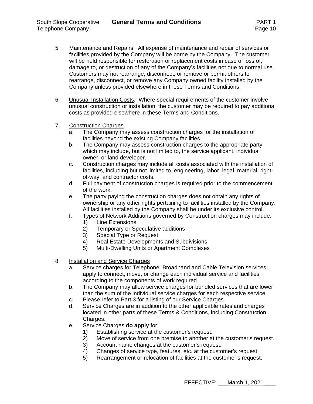- 5. Maintenance and Repairs. All expense of maintenance and repair of services or facilities provided by the Company will be borne by the Company. The customer will be held responsible for restoration or replacement costs in case of loss of, damage to, or destruction of any of the Company's facilities not due to normal use. Customers may not rearrange, disconnect, or remove or permit others to rearrange, disconnect, or remove any Company owned facility installed by the Company unless provided elsewhere in these Terms and Conditions.
- 6. Unusual Installation Costs. Where special requirements of the customer involve unusual construction or installation, the customer may be required to pay additional costs as provided elsewhere in these Terms and Conditions.
- 7. Construction Charges.
	- a. The Company may assess construction charges for the installation of facilities beyond the existing Company facilities.
	- b. The Company may assess construction charges to the appropriate party which may include, but is not limited to, the service applicant, individual owner, or land developer.
	- c. Construction charges may include all costs associated with the installation of facilities, including but not limited to, engineering, labor, legal, material, rightof-way, and contractor costs.
	- d. Full payment of construction charges is required prior to the commencement of the work.
	- e. The party paying the construction charges does not obtain any rights of ownership or any other rights pertaining to facilities installed by the Company. All facilities installed by the Company shall be under its exclusive control.
	- f. Types of Network Additions governed by Construction charges may include:
		- 1) Line Extensions
		- 2) Temporary or Speculative additions
		- 3) Special Type or Request
		- 4) Real Estate Developments and Subdivisions
		- 5) Multi-Dwelling Units or Apartment Complexes
- 8. Installation and Service Charges
	- a. Service charges for Telephone, Broadband and Cable Television services apply to connect, move, or change each individual service and facilities according to the components of work required.
	- b. The Company may allow service charges for bundled services that are lower than the sum of the individual service charges for each respective service.
	- c. Please refer to Part 3 for a listing of our Service Charges.
	- d. Service Charges are in addition to the other applicable rates and charges located in other parts of these Terms & Conditions, including Construction Charges.
	- e. Service Charges **do apply** for:
		- 1) Establishing service at the customer's request.
		- 2) Move of service from one premise to another at the customer's request.
		- 3) Account name changes at the customer's request.
		- 4) Changes of service type, features, etc. at the customer's request.
		- 5) Rearrangement or relocation of facilities at the customer's request.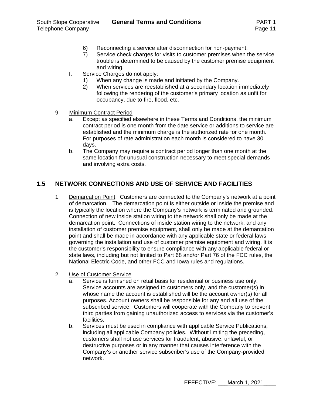- 6) Reconnecting a service after disconnection for non-payment.
- 7) Service check charges for visits to customer premises when the service trouble is determined to be caused by the customer premise equipment and wiring.
- f. Service Charges do not apply:
	- 1) When any change is made and initiated by the Company.
	- 2) When services are reestablished at a secondary location immediately following the rendering of the customer's primary location as unfit for occupancy, due to fire, flood, etc.
- 9. Minimum Contract Period
	- a. Except as specified elsewhere in these Terms and Conditions, the minimum contract period is one month from the date service or additions to service are established and the minimum charge is the authorized rate for one month. For purposes of rate administration each month is considered to have 30 days.
	- b. The Company may require a contract period longer than one month at the same location for unusual construction necessary to meet special demands and involving extra costs.

## **1.5 NETWORK CONNECTIONS AND USE OF SERVICE AND FACILITIES**

- 1. Demarcation Point. Customers are connected to the Company's network at a point of demarcation. The demarcation point is either outside or inside the premise and is typically the location where the Company's network is terminated and grounded. Connection of new inside station wiring to the network shall only be made at the demarcation point. Connections of inside station wiring to the network, and any installation of customer premise equipment, shall only be made at the demarcation point and shall be made in accordance with any applicable state or federal laws governing the installation and use of customer premise equipment and wiring. It is the customer's responsibility to ensure compliance with any applicable federal or state laws, including but not limited to Part 68 and/or Part 76 of the FCC rules, the National Electric Code, and other FCC and Iowa rules and regulations.
- 2. Use of Customer Service
	- a. Service is furnished on retail basis for residential or business use only. Service accounts are assigned to customers only, and the customer(s) in whose name the account is established will be the account owner(s) for all purposes. Account owners shall be responsible for any and all use of the subscribed service. Customers will cooperate with the Company to prevent third parties from gaining unauthorized access to services via the customer's facilities.
	- b. Services must be used in compliance with applicable Service Publications, including all applicable Company policies. Without limiting the preceding, customers shall not use services for fraudulent, abusive, unlawful, or destructive purposes or in any manner that causes interference with the Company's or another service subscriber's use of the Company-provided network.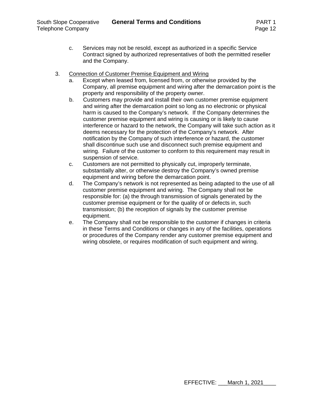- c. Services may not be resold, except as authorized in a specific Service Contract signed by authorized representatives of both the permitted reseller and the Company.
- 3. Connection of Customer Premise Equipment and Wiring
	- a. Except when leased from, licensed from, or otherwise provided by the Company, all premise equipment and wiring after the demarcation point is the property and responsibility of the property owner.
	- b. Customers may provide and install their own customer premise equipment and wiring after the demarcation point so long as no electronic or physical harm is caused to the Company's network. If the Company determines the customer premise equipment and wiring is causing or is likely to cause interference or hazard to the network, the Company will take such action as it deems necessary for the protection of the Company's network. After notification by the Company of such interference or hazard, the customer shall discontinue such use and disconnect such premise equipment and wiring. Failure of the customer to conform to this requirement may result in suspension of service.
	- c. Customers are not permitted to physically cut, improperly terminate, substantially alter, or otherwise destroy the Company's owned premise equipment and wiring before the demarcation point.
	- d. The Company's network is not represented as being adapted to the use of all customer premise equipment and wiring. The Company shall not be responsible for: (a) the through transmission of signals generated by the customer premise equipment or for the quality of or defects in, such transmission; (b) the reception of signals by the customer premise equipment.
	- e. The Company shall not be responsible to the customer if changes in criteria in these Terms and Conditions or changes in any of the facilities, operations or procedures of the Company render any customer premise equipment and wiring obsolete, or requires modification of such equipment and wiring.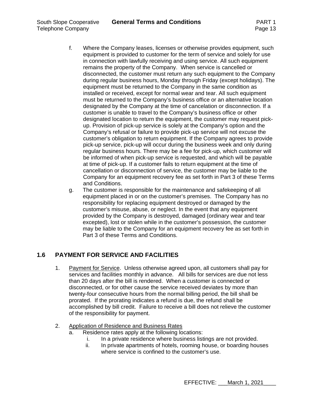- f. Where the Company leases, licenses or otherwise provides equipment, such equipment is provided to customer for the term of service and solely for use in connection with lawfully receiving and using service. All such equipment remains the property of the Company. When service is cancelled or disconnected, the customer must return any such equipment to the Company during regular business hours, Monday through Friday (except holidays). The equipment must be returned to the Company in the same condition as installed or received, except for normal wear and tear. All such equipment must be returned to the Company's business office or an alternative location designated by the Company at the time of cancelation or disconnection. If a customer is unable to travel to the Company's business office or other designated location to return the equipment, the customer may request pickup. Provision of pick-up service is solely at the Company's option and the Company's refusal or failure to provide pick-up service will not excuse the customer's obligation to return equipment. If the Company agrees to provide pick-up service, pick-up will occur during the business week and only during regular business hours. There may be a fee for pick-up, which customer will be informed of when pick-up service is requested, and which will be payable at time of pick-up. If a customer fails to return equipment at the time of cancellation or disconnection of service, the customer may be liable to the Company for an equipment recovery fee as set forth in Part 3 of these Terms and Conditions.
- g. The customer is responsible for the maintenance and safekeeping of all equipment placed in or on the customer's premises. The Company has no responsibility for replacing equipment destroyed or damaged by the customer's misuse, abuse, or neglect. In the event that any equipment provided by the Company is destroyed, damaged (ordinary wear and tear excepted), lost or stolen while in the customer's possession, the customer may be liable to the Company for an equipment recovery fee as set forth in Part 3 of these Terms and Conditions.

## **1.6 PAYMENT FOR SERVICE AND FACILITIES**

- 1. Payment for Service. Unless otherwise agreed upon, all customers shall pay for services and facilities monthly in advance. All bills for services are due not less than 20 days after the bill is rendered. When a customer is connected or disconnected, or for other cause the service received deviates by more than twenty-four consecutive hours from the normal billing period, the bill shall be prorated. If the prorating indicates a refund is due, the refund shall be accomplished by bill credit. Failure to receive a bill does not relieve the customer of the responsibility for payment.
- 2. Application of Residence and Business Rates
	- a. Residence rates apply at the following locations:
		- i. In a private residence where business listings are not provided.
		- ii. In private apartments of hotels, rooming house, or boarding houses where service is confined to the customer's use.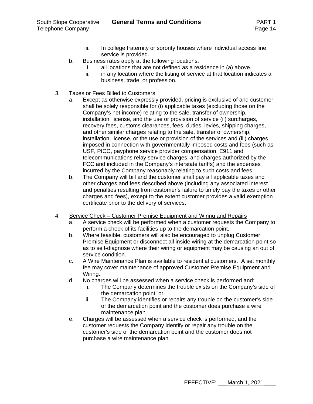- iii. In college fraternity or sorority houses where individual access line service is provided.
- b. Business rates apply at the following locations:
	- i. all locations that are not defined as a residence in (a) above.
	- ii. in any location where the listing of service at that location indicates a business, trade, or profession.
- 3. Taxes or Fees Billed to Customers
	- a. Except as otherwise expressly provided, pricing is exclusive of and customer shall be solely responsible for (i) applicable taxes (excluding those on the Company's net income) relating to the sale, transfer of ownership, installation, license, and the use or provision of service (ii) surcharges, recovery fees, customs clearances, fees, duties, levies, shipping charges, and other similar charges relating to the sale, transfer of ownership, installation, license, or the use or provision of the services and (iii) charges imposed in connection with governmentally imposed costs and fees (such as USF, PICC, payphone service provider compensation, E911 and telecommunications relay service charges, and charges authorized by the FCC and included in the Company's interstate tariffs) and the expenses incurred by the Company reasonably relating to such costs and fees.
	- b. The Company will bill and the customer shall pay all applicable taxes and other charges and fees described above (including any associated interest and penalties resulting from customer's failure to timely pay the taxes or other charges and fees), except to the extent customer provides a valid exemption certificate prior to the delivery of services.
- 4. Service Check Customer Premise Equipment and Wiring and Repairs
	- a. A service check will be performed when a customer requests the Company to perform a check of its facilities up to the demarcation point.
	- b. Where feasible, customers will also be encouraged to unplug Customer Premise Equipment or disconnect all inside wiring at the demarcation point so as to self-diagnose where their wiring or equipment may be causing an out of service condition.
	- c. A Wire Maintenance Plan is available to residential customers. A set monthly fee may cover maintenance of approved Customer Premise Equipment and Wiring.
	- d. No charges will be assessed when a service check is performed and:
		- i. The Company determines the trouble exists on the Company's side of the demarcation point; or
		- ii. The Company identifies or repairs any trouble on the customer's side of the demarcation point and the customer does purchase a wire maintenance plan.
	- e. Charges will be assessed when a service check is performed, and the customer requests the Company identify or repair any trouble on the customer's side of the demarcation point and the customer does not purchase a wire maintenance plan.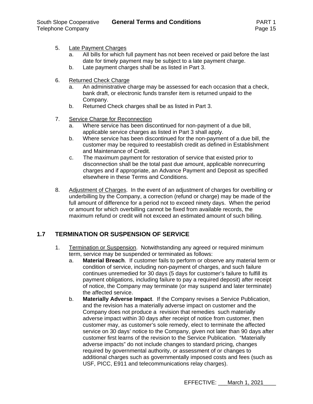- 5. Late Payment Charges
	- a. All bills for which full payment has not been received or paid before the last date for timely payment may be subject to a late payment charge.
	- b. Late payment charges shall be as listed in Part 3.
- 6. Returned Check Charge
	- a. An administrative charge may be assessed for each occasion that a check, bank draft, or electronic funds transfer item is returned unpaid to the Company.
	- b. Returned Check charges shall be as listed in Part 3.
- 7. Service Charge for Reconnection
	- a. Where service has been discontinued for non-payment of a due bill, applicable service charges as listed in Part 3 shall apply.
	- b. Where service has been discontinued for the non-payment of a due bill, the customer may be required to reestablish credit as defined in Establishment and Maintenance of Credit.
	- c. The maximum payment for restoration of service that existed prior to disconnection shall be the total past due amount, applicable nonrecurring charges and if appropriate, an Advance Payment and Deposit as specified elsewhere in these Terms and Conditions.
- 8. Adjustment of Charges. In the event of an adjustment of charges for overbilling or underbilling by the Company, a correction (refund or charge) may be made of the full amount of difference for a period not to exceed ninety days. When the period or amount for which overbilling cannot be fixed from available records, the maximum refund or credit will not exceed an estimated amount of such billing.

## **1.7 TERMINATION OR SUSPENSION OF SERVICE**

- 1. Termination or Suspension. Notwithstanding any agreed or required minimum term, service may be suspended or terminated as follows:
	- a. **Material Breach**. If customer fails to perform or observe any material term or condition of service, including non-payment of charges, and such failure continues unremedied for 30 days (5 days for customer's failure to fulfill its payment obligations, including failure to pay a required deposit) after receipt of notice, the Company may terminate (or may suspend and later terminate) the affected service.
	- b. **Materially Adverse Impact**. If the Company revises a Service Publication, and the revision has a materially adverse impact on customer and the Company does not produce a revision that remedies such materially adverse impact within 30 days after receipt of notice from customer, then customer may, as customer's sole remedy, elect to terminate the affected service on 30 days' notice to the Company, given not later than 90 days after customer first learns of the revision to the Service Publication. "Materially adverse impacts" do not include changes to standard pricing, changes required by governmental authority, or assessment of or changes to additional charges such as governmentally imposed costs and fees (such as USF, PICC, E911 and telecommunications relay charges).

EFFECTIVE: March 1, 2021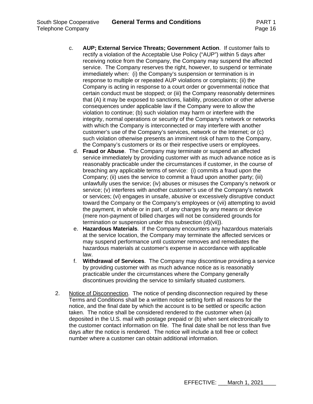- c. **AUP; External Service Threats; Government Action**. If customer fails to rectify a violation of the Acceptable Use Policy ("AUP") within 5 days after receiving notice from the Company, the Company may suspend the affected service. The Company reserves the right, however, to suspend or terminate immediately when: (i) the Company's suspension or termination is in response to multiple or repeated AUP violations or complaints; (ii) the Company is acting in response to a court order or governmental notice that certain conduct must be stopped; or (iii) the Company reasonably determines that (A) it may be exposed to sanctions, liability, prosecution or other adverse consequences under applicable law if the Company were to allow the violation to continue; (b) such violation may harm or interfere with the integrity, normal operations or security of the Company's network or networks with which the Company is interconnected or may interfere with another customer's use of the Company's services, network or the Internet; or (c) such violation otherwise presents an imminent risk of harm to the Company, the Company's customers or its or their respective users or employees.
	- d. **Fraud or Abuse**. The Company may terminate or suspend an affected service immediately by providing customer with as much advance notice as is reasonably practicable under the circumstances if customer, in the course of breaching any applicable terms of service: (i) commits a fraud upon the Company; (ii) uses the service to commit a fraud upon another party; (iii) unlawfully uses the service; (iv) abuses or misuses the Company's network or service; (v) interferes with another customer's use of the Company's network or services; (vi) engages in unsafe, abusive or excessively disruptive conduct toward the Company or the Company's employees or (vii) attempting to avoid the payment, in whole or in part, of any charges by any means or device (mere non-payment of billed charges will not be considered grounds for termination or suspension under this subsection (d)(vii)).
	- e. **Hazardous Materials**. If the Company encounters any hazardous materials at the service location, the Company may terminate the affected services or may suspend performance until customer removes and remediates the hazardous materials at customer's expense in accordance with applicable law.
	- f. **Withdrawal of Services**. The Company may discontinue providing a service by providing customer with as much advance notice as is reasonably practicable under the circumstances where the Company generally discontinues providing the service to similarly situated customers.
- 2. Notice of Disconnection. The notice of pending disconnection required by these Terms and Conditions shall be a written notice setting forth all reasons for the notice, and the final date by which the account is to be settled or specific action taken. The notice shall be considered rendered to the customer when (a) deposited in the U.S. mail with postage prepaid or (b) when sent electronically to the customer contact information on file. The final date shall be not less than five days after the notice is rendered. The notice will include a toll free or collect number where a customer can obtain additional information.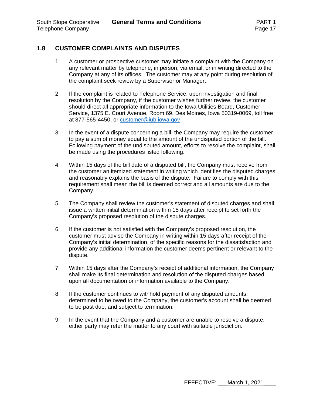## **1.8 CUSTOMER COMPLAINTS AND DISPUTES**

- 1. A customer or prospective customer may initiate a complaint with the Company on any relevant matter by telephone, in person, via email, or in writing directed to the Company at any of its offices. The customer may at any point during resolution of the complaint seek review by a Supervisor or Manager.
- 2. If the complaint is related to Telephone Service, upon investigation and final resolution by the Company, if the customer wishes further review, the customer should direct all appropriate information to the Iowa Utilities Board, Customer Service, 1375 E. Court Avenue, Room 69, Des Moines, Iowa 50319-0069, toll free at 877-565-4450, or customer@iub.iowa.gov
- 3. In the event of a dispute concerning a bill, the Company may require the customer to pay a sum of money equal to the amount of the undisputed portion of the bill. Following payment of the undisputed amount, efforts to resolve the complaint, shall be made using the procedures listed following.
- 4. Within 15 days of the bill date of a disputed bill, the Company must receive from the customer an itemized statement in writing which identifies the disputed charges and reasonably explains the basis of the dispute. Failure to comply with this requirement shall mean the bill is deemed correct and all amounts are due to the Company.
- 5. The Company shall review the customer's statement of disputed charges and shall issue a written initial determination within 15 days after receipt to set forth the Company's proposed resolution of the dispute charges.
- 6. If the customer is not satisfied with the Company's proposed resolution, the customer must advise the Company in writing within 15 days after receipt of the Company's initial determination, of the specific reasons for the dissatisfaction and provide any additional information the customer deems pertinent or relevant to the dispute.
- 7. Within 15 days after the Company's receipt of additional information, the Company shall make its final determination and resolution of the disputed charges based upon all documentation or information available to the Company.
- 8. If the customer continues to withhold payment of any disputed amounts, determined to be owed to the Company, the customer's account shall be deemed to be past due, and subject to termination.
- 9. In the event that the Company and a customer are unable to resolve a dispute, either party may refer the matter to any court with suitable jurisdiction.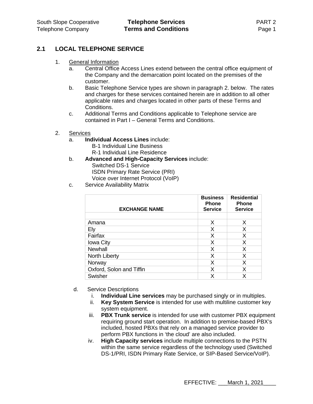## **2.1 LOCAL TELEPHONE SERVICE**

- 1. General Information
	- a. Central Office Access Lines extend between the central office equipment of the Company and the demarcation point located on the premises of the customer.
	- b. Basic Telephone Service types are shown in paragraph 2. below. The rates and charges for these services contained herein are in addition to all other applicable rates and charges located in other parts of these Terms and Conditions.
	- c. Additional Terms and Conditions applicable to Telephone service are contained in Part I – General Terms and Conditions.
- 2. Services
	- a. **Individual Access Lines** include:
		- B-1 Individual Line Business R-1 Individual Line Residence
	- b. **Advanced and High-Capacity Services** include:

Switched DS-1 Service ISDN Primary Rate Service (PRI) Voice over Internet Protocol (VoIP)

c. Service Availability Matrix

| <b>EXCHANGE NAME</b>     | <b>Business</b><br><b>Phone</b><br><b>Service</b> | <b>Residential</b><br><b>Phone</b><br><b>Service</b> |
|--------------------------|---------------------------------------------------|------------------------------------------------------|
|                          |                                                   |                                                      |
| Amana                    | X                                                 | X                                                    |
| Ely                      | X                                                 | Х                                                    |
| Fairfax                  | X                                                 | X                                                    |
| <b>Iowa City</b>         | X                                                 | X                                                    |
| Newhall                  | X                                                 | X                                                    |
| North Liberty            | X                                                 | X                                                    |
| Norway                   | X                                                 | X                                                    |
| Oxford, Solon and Tiffin | X                                                 | X                                                    |
| Swisher                  | x                                                 |                                                      |

- d. Service Descriptions
	- i. **Individual Line services** may be purchased singly or in multiples.
	- ii. **Key System Service** is intended for use with multiline customer key system equipment.
	- iii. **PBX Trunk service** is intended for use with customer PBX equipment requiring ground start operation. In addition to premise-based PBX's included, hosted PBXs that rely on a managed service provider to perform PBX functions in 'the cloud' are also included.
	- iv. **High Capacity services** include multiple connections to the PSTN within the same service regardless of the technology used (Switched DS-1/PRI, ISDN Primary Rate Service, or SIP-Based Service/VoIP).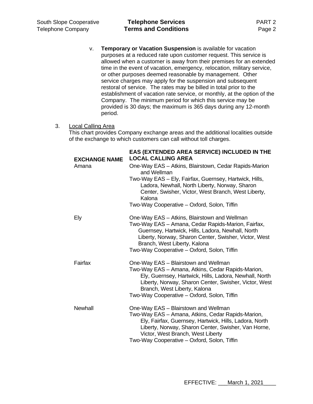v. **Temporary or Vacation Suspension** is available for vacation purposes at a reduced rate upon customer request. This service is allowed when a customer is away from their premises for an extended time in the event of vacation, emergency, relocation, military service, or other purposes deemed reasonable by management. Other service charges may apply for the suspension and subsequent restoral of service. The rates may be billed in total prior to the establishment of vacation rate service, or monthly, at the option of the Company. The minimum period for which this service may be provided is 30 days; the maximum is 365 days during any 12-month period.

## 3. Local Calling Area

This chart provides Company exchange areas and the additional localities outside of the exchange to which customers can call without toll charges.

| <b>EXCHANGE NAME</b> | EAS (EXTENDED AREA SERVICE) INCLUDED IN THE<br><b>LOCAL CALLING AREA</b>                                                                                                                                                                                                                       |
|----------------------|------------------------------------------------------------------------------------------------------------------------------------------------------------------------------------------------------------------------------------------------------------------------------------------------|
| Amana                | One-Way EAS - Atkins, Blairstown, Cedar Rapids-Marion<br>and Wellman                                                                                                                                                                                                                           |
|                      | Two-Way EAS - Ely, Fairfax, Guernsey, Hartwick, Hills,<br>Ladora, Newhall, North Liberty, Norway, Sharon<br>Center, Swisher, Victor, West Branch, West Liberty,<br>Kalona                                                                                                                      |
|                      | Two-Way Cooperative - Oxford, Solon, Tiffin                                                                                                                                                                                                                                                    |
| Ely                  | One-Way EAS - Atkins, Blairstown and Wellman<br>Two-Way EAS - Amana, Cedar Rapids-Marion, Fairfax,<br>Guernsey, Hartwick, Hills, Ladora, Newhall, North<br>Liberty, Norway, Sharon Center, Swisher, Victor, West<br>Branch, West Liberty, Kalona                                               |
|                      | Two-Way Cooperative - Oxford, Solon, Tiffin                                                                                                                                                                                                                                                    |
| Fairfax              | One-Way EAS - Blairstown and Wellman<br>Two-Way EAS - Amana, Atkins, Cedar Rapids-Marion,<br>Ely, Guernsey, Hartwick, Hills, Ladora, Newhall, North<br>Liberty, Norway, Sharon Center, Swisher, Victor, West<br>Branch, West Liberty, Kalona<br>Two-Way Cooperative - Oxford, Solon, Tiffin    |
| Newhall              | One-Way EAS - Blairstown and Wellman<br>Two-Way EAS - Amana, Atkins, Cedar Rapids-Marion,<br>Ely, Fairfax, Guernsey, Hartwick, Hills, Ladora, North<br>Liberty, Norway, Sharon Center, Swisher, Van Horne,<br>Victor, West Branch, West Liberty<br>Two-Way Cooperative - Oxford, Solon, Tiffin |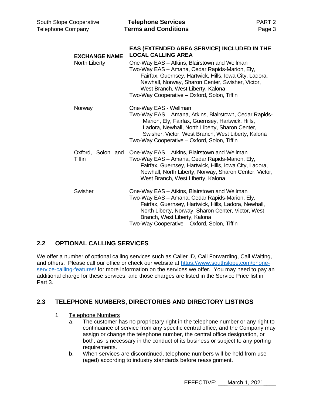| <b>South Slope Cooperative</b><br><b>Telephone Company</b> | <b>Telephone Services</b><br><b>Terms and Conditions</b>                                                                                                                                                                                                                                                                                                                     | PART <sub>2</sub><br>Page 3 |
|------------------------------------------------------------|------------------------------------------------------------------------------------------------------------------------------------------------------------------------------------------------------------------------------------------------------------------------------------------------------------------------------------------------------------------------------|-----------------------------|
| <b>EXCHANGE NAME</b><br>North Liberty                      | EAS (EXTENDED AREA SERVICE) INCLUDED IN THE<br><b>LOCAL CALLING AREA</b><br>One-Way EAS - Atkins, Blairstown and Wellman<br>Two-Way EAS - Amana, Cedar Rapids-Marion, Ely,<br>Fairfax, Guernsey, Hartwick, Hills, Iowa City, Ladora,<br>Newhall, Norway, Sharon Center, Swisher, Victor,<br>West Branch, West Liberty, Kalona<br>Two-Way Cooperative - Oxford, Solon, Tiffin |                             |
| Norway                                                     | One-Way EAS - Wellman<br>Two-Way EAS - Amana, Atkins, Blairstown, Cedar Rapids-<br>Marion, Ely, Fairfax, Guernsey, Hartwick, Hills,<br>Ladora, Newhall, North Liberty, Sharon Center,<br>Swisher, Victor, West Branch, West Liberty, Kalona<br>Two-Way Cooperative - Oxford, Solon, Tiffin                                                                                   |                             |
| Oxford, Solon and<br><b>Tiffin</b>                         | One-Way EAS - Atkins, Blairstown and Wellman<br>Two-Way EAS - Amana, Cedar Rapids-Marion, Ely,<br>Fairfax, Guernsey, Hartwick, Hills, Iowa City, Ladora,<br>Newhall, North Liberty, Norway, Sharon Center, Victor,<br>West Branch, West Liberty, Kalona                                                                                                                      |                             |
| Swisher                                                    | One-Way EAS - Atkins, Blairstown and Wellman<br>Two-Way EAS - Amana, Cedar Rapids-Marion, Ely,<br>Fairfax, Guernsey, Hartwick, Hills, Ladora, Newhall,<br>North Liberty, Norway, Sharon Center, Victor, West<br>Branch, West Liberty, Kalona<br>Two-Way Cooperative - Oxford, Solon, Tiffin                                                                                  |                             |

## **2.2 OPTIONAL CALLING SERVICES**

We offer a number of optional calling services such as Caller ID, Call Forwarding, Call Waiting, and others. Please call our office or check our website at https://www.southslope.com/phoneservice-calling-features/ for more information on the services we offer. You may need to pay an additional charge for these services, and those charges are listed in the Service Price list in Part 3.

## **2.3 TELEPHONE NUMBERS, DIRECTORIES AND DIRECTORY LISTINGS**

- 1. Telephone Numbers
	- a. The customer has no proprietary right in the telephone number or any right to continuance of service from any specific central office, and the Company may assign or change the telephone number, the central office designation, or both, as is necessary in the conduct of its business or subject to any porting requirements.
	- b. When services are discontinued, telephone numbers will be held from use (aged) according to industry standards before reassignment.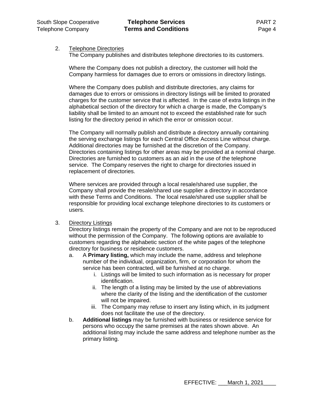### 2. Telephone Directories

The Company publishes and distributes telephone directories to its customers.

Where the Company does not publish a directory, the customer will hold the Company harmless for damages due to errors or omissions in directory listings.

Where the Company does publish and distribute directories, any claims for damages due to errors or omissions in directory listings will be limited to prorated charges for the customer service that is affected. In the case of extra listings in the alphabetical section of the directory for which a charge is made, the Company's liability shall be limited to an amount not to exceed the established rate for such listing for the directory period in which the error or omission occur.

The Company will normally publish and distribute a directory annually containing the serving exchange listings for each Central Office Access Line without charge. Additional directories may be furnished at the discretion of the Company. Directories containing listings for other areas may be provided at a nominal charge. Directories are furnished to customers as an aid in the use of the telephone service. The Company reserves the right to charge for directories issued in replacement of directories.

Where services are provided through a local resale/shared use supplier, the Company shall provide the resale/shared use supplier a directory in accordance with these Terms and Conditions. The local resale/shared use supplier shall be responsible for providing local exchange telephone directories to its customers or users.

#### 3. Directory Listings

Directory listings remain the property of the Company and are not to be reproduced without the permission of the Company. The following options are available to customers regarding the alphabetic section of the white pages of the telephone directory for business or residence customers.

- a. A **Primary listing,** which may include the name, address and telephone number of the individual, organization, firm, or corporation for whom the service has been contracted, will be furnished at no charge.
	- i. Listings will be limited to such information as is necessary for proper identification.
	- ii. The length of a listing may be limited by the use of abbreviations where the clarity of the listing and the identification of the customer will not be impaired.
	- iii. The Company may refuse to insert any listing which, in its judgment does not facilitate the use of the directory.
- b. **Additional listings** may be furnished with business or residence service for persons who occupy the same premises at the rates shown above. An additional listing may include the same address and telephone number as the primary listing.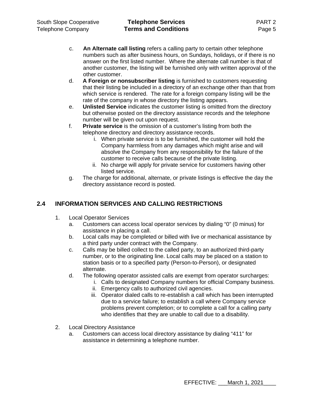- c. **An Alternate call listing** refers a calling party to certain other telephone numbers such as after business hours, on Sundays, holidays, or if there is no answer on the first listed number. Where the alternate call number is that of another customer, the listing will be furnished only with written approval of the other customer.
- d. **A Foreign or nonsubscriber listing** is furnished to customers requesting that their listing be included in a directory of an exchange other than that from which service is rendered. The rate for a foreign company listing will be the rate of the company in whose directory the listing appears.
- e. **Unlisted Service** indicates the customer listing is omitted from the directory but otherwise posted on the directory assistance records and the telephone number will be given out upon request.
- f. **Private service** is the omission of a customer's listing from both the telephone directory and directory assistance records.
	- i. When private service is to be furnished, the customer will hold the Company harmless from any damages which might arise and will absolve the Company from any responsibility for the failure of the customer to receive calls because of the private listing.
	- ii. No charge will apply for private service for customers having other listed service.
- g. The charge for additional, alternate, or private listings is effective the day the directory assistance record is posted.

## **2.4 INFORMATION SERVICES AND CALLING RESTRICTIONS**

- 1. Local Operator Services
	- a. Customers can access local operator services by dialing "0" (0 minus) for assistance in placing a call.
	- b. Local calls may be completed or billed with live or mechanical assistance by a third party under contract with the Company.
	- c. Calls may be billed collect to the called party, to an authorized third-party number, or to the originating line. Local calls may be placed on a station to station basis or to a specified party (Person-to-Person), or designated alternate.
	- d. The following operator assisted calls are exempt from operator surcharges:
		- i. Calls to designated Company numbers for official Company business.
		- ii. Emergency calls to authorized civil agencies.
		- iii. Operator dialed calls to re-establish a call which has been interrupted due to a service failure; to establish a call where Company service problems prevent completion; or to complete a call for a calling party who identifies that they are unable to call due to a disability.
- 2. Local Directory Assistance
	- a. Customers can access local directory assistance by dialing "411" for assistance in determining a telephone number.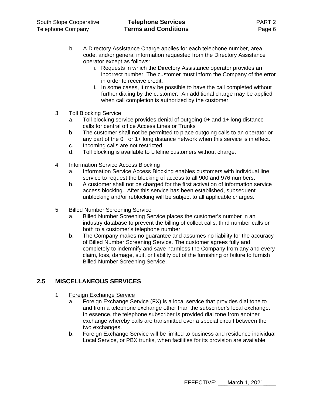- b. A Directory Assistance Charge applies for each telephone number, area code, and/or general information requested from the Directory Assistance operator except as follows:
	- i. Requests in which the Directory Assistance operator provides an incorrect number. The customer must inform the Company of the error in order to receive credit.
	- ii. In some cases, it may be possible to have the call completed without further dialing by the customer. An additional charge may be applied when call completion is authorized by the customer.
- 3. Toll Blocking Service
	- a. Toll blocking service provides denial of outgoing 0+ and 1+ long distance calls for central office Access Lines or Trunks
	- b. The customer shall not be permitted to place outgoing calls to an operator or any part of the 0+ or 1+ long distance network when this service is in effect.
	- c. Incoming calls are not restricted.
	- d. Toll blocking is available to Lifeline customers without charge.
- 4. Information Service Access Blocking
	- a. Information Service Access Blocking enables customers with individual line service to request the blocking of access to all 900 and 976 numbers.
	- b. A customer shall not be charged for the first activation of information service access blocking. After this service has been established, subsequent unblocking and/or reblocking will be subject to all applicable charges.
- 5. Billed Number Screening Service
	- a. Billed Number Screening Service places the customer's number in an industry database to prevent the billing of collect calls, third number calls or both to a customer's telephone number.
	- b. The Company makes no guarantee and assumes no liability for the accuracy of Billed Number Screening Service. The customer agrees fully and completely to indemnify and save harmless the Company from any and every claim, loss, damage, suit, or liability out of the furnishing or failure to furnish Billed Number Screening Service.

## **2.5 MISCELLANEOUS SERVICES**

- 1. Foreign Exchange Service
	- a. Foreign Exchange Service (FX) is a local service that provides dial tone to and from a telephone exchange other than the subscriber's local exchange. In essence, the telephone subscriber is provided dial tone from another exchange whereby calls are transmitted over a special circuit between the two exchanges.
	- b. Foreign Exchange Service will be limited to business and residence individual Local Service, or PBX trunks, when facilities for its provision are available.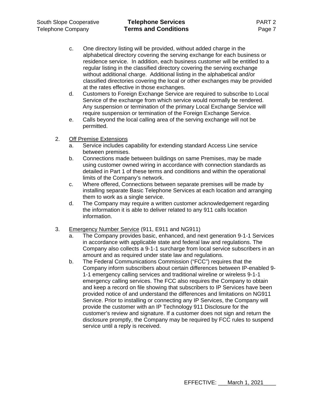- c. One directory listing will be provided, without added charge in the alphabetical directory covering the serving exchange for each business or residence service. In addition, each business customer will be entitled to a regular listing in the classified directory covering the serving exchange without additional charge. Additional listing in the alphabetical and/or classified directories covering the local or other exchanges may be provided at the rates effective in those exchanges.
- d. Customers to Foreign Exchange Service are required to subscribe to Local Service of the exchange from which service would normally be rendered. Any suspension or termination of the primary Local Exchange Service will require suspension or termination of the Foreign Exchange Service.
- e. Calls beyond the local calling area of the serving exchange will not be permitted.
- 2. Off Premise Extensions
	- a. Service includes capability for extending standard Access Line service between premises.
	- b. Connections made between buildings on same Premises, may be made using customer owned wiring in accordance with connection standards as detailed in Part 1 of these terms and conditions and within the operational limits of the Company's network.
	- c. Where offered, Connections between separate premises will be made by installing separate Basic Telephone Services at each location and arranging them to work as a single service.
	- d. The Company may require a written customer acknowledgement regarding the information it is able to deliver related to any 911 calls location information.
- 3. Emergency Number Service (911, E911 and NG911)
	- The Company provides basic, enhanced, and next generation 9-1-1 Services in accordance with applicable state and federal law and regulations. The Company also collects a 9-1-1 surcharge from local service subscribers in an amount and as required under state law and regulations.
	- b. The Federal Communications Commission ("FCC") requires that the Company inform subscribers about certain differences between IP-enabled 9- 1-1 emergency calling services and traditional wireline or wireless 9-1-1 emergency calling services. The FCC also requires the Company to obtain and keep a record on file showing that subscribers to IP Services have been provided notice of and understand the differences and limitations on NG911 Service. Prior to installing or connecting any IP Services, the Company will provide the customer with an IP Technology 911 Disclosure for the customer's review and signature. If a customer does not sign and return the disclosure promptly, the Company may be required by FCC rules to suspend service until a reply is received.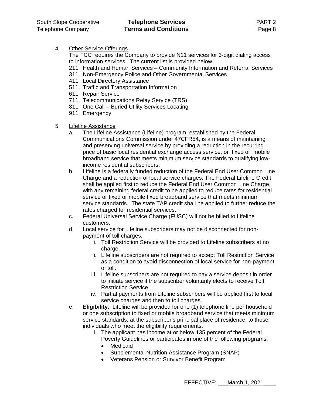4. Other Service Offerings

The FCC requires the Company to provide N11 services for 3-digit dialing access to information services. The current list is provided below.

- 211 Health and Human Services Community Information and Referral Services
- 311 Non-Emergency Police and Other Governmental Services
- 411 Local Directory Assistance
- 511 Traffic and Transportation Information
- 611 Repair Service
- 711 Telecommunications Relay Service (TRS)
- 811 One Call Buried Utility Services Locating
- 911 Emergency
- 5. Lifeline Assistance
	- a. The Lifeline Assistance (Lifeline) program, established by the Federal Communications Commission under 47CFR54, is a means of maintaining and preserving universal service by providing a reduction in the recurring price of basic local residential exchange access service, or fixed or mobile broadband service that meets minimum service standards to qualifying lowincome residential subscribers.
	- b. Lifeline is a federally funded reduction of the Federal End User Common Line Charge and a reduction of local service charges. The Federal Lifeline Credit shall be applied first to reduce the Federal End User Common Line Charge, with any remaining federal credit to be applied to reduce rates for residential service or fixed or mobile fixed broadband service that meets minimum service standards. The state TAP credit shall be applied to further reduce the rates charged for residential services.
	- c. Federal Universal Service Charge (FUSC) will not be billed to Lifeline customers.
	- d. Local service for Lifeline subscribers may not be disconnected for nonpayment of toll charges.
		- i. Toll Restriction Service will be provided to Lifeline subscribers at no charge.
		- ii. Lifeline subscribers are not required to accept Toll Restriction Service as a condition to avoid disconnection of local service for non-payment of toll.
		- iii. Lifeline subscribers are not required to pay a service deposit in order to initiate service if the subscriber voluntarily elects to receive Toll Restriction Service.
		- iv. Partial payments from Lifeline subscribers will be applied first to local service charges and then to toll charges.
	- e. **Eligibility**. Lifeline will be provided for one (1) telephone line per household or one subscription to fixed or mobile broadband service that meets minimum service standards, at the subscriber's principal place of residence, to those individuals who meet the eligibility requirements.
		- i. The applicant has income at or below 135 percent of the Federal Poverty Guidelines or participates in one of the following programs:
			- Medicaid
			- Supplemental Nutrition Assistance Program (SNAP)
			- Veterans Pension or Survivor Benefit Program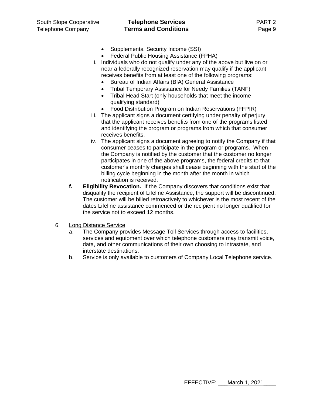## South Slope Cooperative **Telephone Services** PART 2 Telephone Company **Terms and Conditions** Page 9

- Supplemental Security Income (SSI)
- Federal Public Housing Assistance (FPHA)
- ii. Individuals who do not qualify under any of the above but live on or near a federally recognized reservation may qualify if the applicant receives benefits from at least one of the following programs:
	- Bureau of Indian Affairs (BIA) General Assistance
	- Tribal Temporary Assistance for Needy Families (TANF)
	- Tribal Head Start (only households that meet the income qualifying standard)
	- Food Distribution Program on Indian Reservations (FFPIR)
- iii. The applicant signs a document certifying under penalty of perjury that the applicant receives benefits from one of the programs listed and identifying the program or programs from which that consumer receives benefits.
- iv. The applicant signs a document agreeing to notify the Company if that consumer ceases to participate in the program or programs. When the Company is notified by the customer that the customer no longer participates in one of the above programs, the federal credits to that customer's monthly charges shall cease beginning with the start of the billing cycle beginning in the month after the month in which notification is received.
- **f. Eligibility Revocation.** If the Company discovers that conditions exist that disqualify the recipient of Lifeline Assistance, the support will be discontinued. The customer will be billed retroactively to whichever is the most recent of the dates Lifeline assistance commenced or the recipient no longer qualified for the service not to exceed 12 months.
- 6. Long Distance Service
	- a. The Company provides Message Toll Services through access to facilities, services and equipment over which telephone customers may transmit voice, data, and other communications of their own choosing to intrastate, and interstate destinations.
	- b. Service is only available to customers of Company Local Telephone service.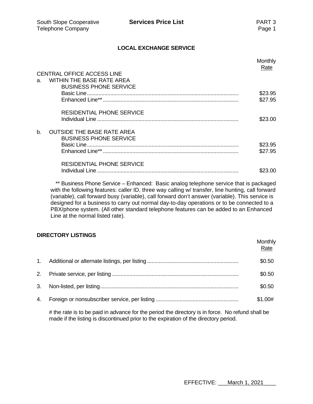### **LOCAL EXCHANGE SERVICE**

|    |                                   | Monthly<br><u>Rate</u> |
|----|-----------------------------------|------------------------|
|    | <b>CENTRAL OFFICE ACCESS LINE</b> |                        |
| a. | <b>WITHIN THE BASE RATE AREA</b>  |                        |
|    | <b>BUSINESS PHONE SERVICE</b>     |                        |
|    |                                   | \$23.95                |
|    |                                   | \$27.95                |
|    | <b>RESIDENTIAL PHONE SERVICE</b>  |                        |
|    |                                   | \$23.00                |
| b. | <b>OUTSIDE THE BASE RATE AREA</b> |                        |
|    | <b>BUSINESS PHONE SERVICE</b>     |                        |
|    |                                   | \$23.95                |
|    |                                   | \$27.95                |
|    | <b>RESIDENTIAL PHONE SERVICE</b>  |                        |
|    |                                   | \$23.00                |

\*\* Business Phone Service – Enhanced: Basic analog telephone service that is packaged with the following features: caller ID, three way calling w/ transfer, line hunting, call forward (variable), call forward busy (variable), call forward don't answer (variable). This service is designed for a business to carry out normal day-to-day operations or to be connected to a PBX/phone system. (All other standard telephone features can be added to an Enhanced Line at the normal listed rate).

#### **DIRECTORY LISTINGS**

|  | Monthly<br>Rate |
|--|-----------------|
|  | \$0.50          |
|  | \$0.50          |
|  | \$0.50          |
|  | \$1.00#         |

# the rate is to be paid in advance for the period the directory is in force. No refund shall be made if the listing is discontinued prior to the expiration of the directory period.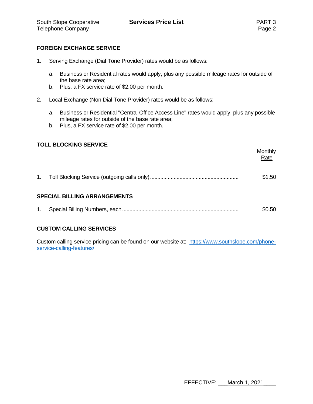### **FOREIGN EXCHANGE SERVICE**

- 1. Serving Exchange (Dial Tone Provider) rates would be as follows:
	- a. Business or Residential rates would apply, plus any possible mileage rates for outside of the base rate area;
	- b. Plus, a FX service rate of \$2.00 per month.
- 2. Local Exchange (Non Dial Tone Provider) rates would be as follows:
	- a. Business or Residential "Central Office Access Line" rates would apply, plus any possible mileage rates for outside of the base rate area;
	- b. Plus, a FX service rate of \$2.00 per month.

### **TOLL BLOCKING SERVICE**

|                |                                     | <b>Monthly</b><br>Rate |  |
|----------------|-------------------------------------|------------------------|--|
| 1 <sub>1</sub> |                                     | \$1.50                 |  |
|                | <b>SPECIAL BILLING ARRANGEMENTS</b> |                        |  |
| 1.             |                                     | \$0.50                 |  |
|                |                                     |                        |  |

## **CUSTOM CALLING SERVICES**

Custom calling service pricing can be found on our website at: https://www.southslope.com/phoneservice-calling-features/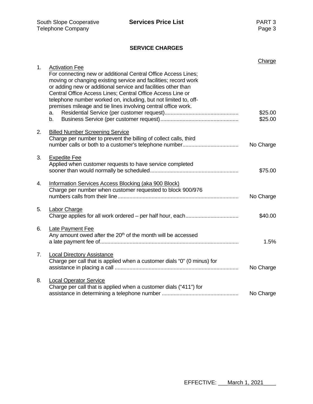## **SERVICE CHARGES**

| 1. | <b>Activation Fee</b>                                                                                                                                                                                                                                                                                                                                                                               | Charge             |
|----|-----------------------------------------------------------------------------------------------------------------------------------------------------------------------------------------------------------------------------------------------------------------------------------------------------------------------------------------------------------------------------------------------------|--------------------|
|    | For connecting new or additional Central Office Access Lines;<br>moving or changing existing service and facilities; record work<br>or adding new or additional service and facilities other than<br>Central Office Access Lines; Central Office Access Line or<br>telephone number worked on, including, but not limited to, off-<br>premises mileage and tie lines involving central office work. |                    |
|    | a.<br>b.                                                                                                                                                                                                                                                                                                                                                                                            | \$25.00<br>\$25.00 |
| 2. | <b>Billed Number Screening Service</b><br>Charge per number to prevent the billing of collect calls, third                                                                                                                                                                                                                                                                                          | No Charge          |
| 3. | <b>Expedite Fee</b><br>Applied when customer requests to have service completed                                                                                                                                                                                                                                                                                                                     | \$75.00            |
| 4. | Information Services Access Blocking (aka 900 Block)<br>Charge per number when customer requested to block 900/976                                                                                                                                                                                                                                                                                  | No Charge          |
| 5. | <b>Labor Charge</b>                                                                                                                                                                                                                                                                                                                                                                                 | \$40.00            |
| 6. | Late Payment Fee<br>Any amount owed after the 20 <sup>th</sup> of the month will be accessed                                                                                                                                                                                                                                                                                                        | 1.5%               |
| 7. | <b>Local Directory Assistance</b><br>Charge per call that is applied when a customer dials "0" (0 minus) for                                                                                                                                                                                                                                                                                        | No Charge          |
| 8. | <b>Local Operator Service</b><br>Charge per call that is applied when a customer dials ("411") for                                                                                                                                                                                                                                                                                                  | No Charge          |